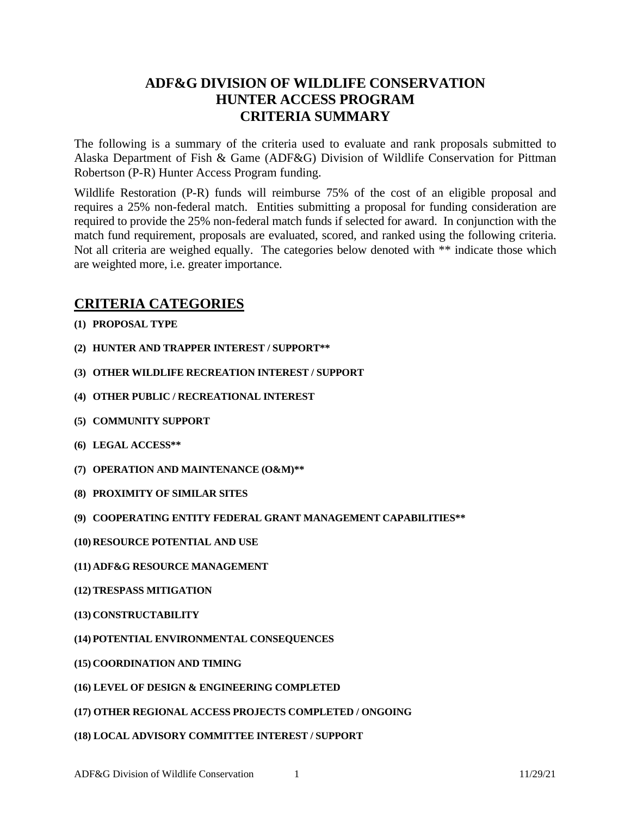# **ADF&G DIVISION OF WILDLIFE CONSERVATION HUNTER ACCESS PROGRAM CRITERIA SUMMARY**

The following is a summary of the criteria used to evaluate and rank proposals submitted to Alaska Department of Fish & Game (ADF&G) Division of Wildlife Conservation for Pittman Robertson (P-R) Hunter Access Program funding.

Wildlife Restoration (P-R) funds will reimburse 75% of the cost of an eligible proposal and requires a 25% non-federal match. Entities submitting a proposal for funding consideration are required to provide the 25% non-federal match funds if selected for award. In conjunction with the match fund requirement, proposals are evaluated, scored, and ranked using the following criteria. Not all criteria are weighed equally. The categories below denoted with \*\* indicate those which are weighted more, i.e. greater importance.

## **CRITERIA CATEGORIES**

- **(1) PROPOSAL TYPE**
- **(2) HUNTER AND TRAPPER INTEREST / SUPPORT\*\***
- **(3) OTHER WILDLIFE RECREATION INTEREST / SUPPORT**
- **(4) OTHER PUBLIC / RECREATIONAL INTEREST**
- **(5) COMMUNITY SUPPORT**
- **(6) LEGAL ACCESS\*\***
- **(7) OPERATION AND MAINTENANCE (O&M)\*\***
- **(8) PROXIMITY OF SIMILAR SITES**
- **(9) COOPERATING ENTITY FEDERAL GRANT MANAGEMENT CAPABILITIES\*\***
- **(10) RESOURCE POTENTIAL AND USE**
- **(11) ADF&G RESOURCE MANAGEMENT**
- **(12) TRESPASS MITIGATION**
- **(13) CONSTRUCTABILITY**
- **(14) POTENTIAL ENVIRONMENTAL CONSEQUENCES**
- **(15) COORDINATION AND TIMING**
- **(16) LEVEL OF DESIGN & ENGINEERING COMPLETED**
- **(17) OTHER REGIONAL ACCESS PROJECTS COMPLETED / ONGOING**
- **(18) LOCAL ADVISORY COMMITTEE INTEREST / SUPPORT**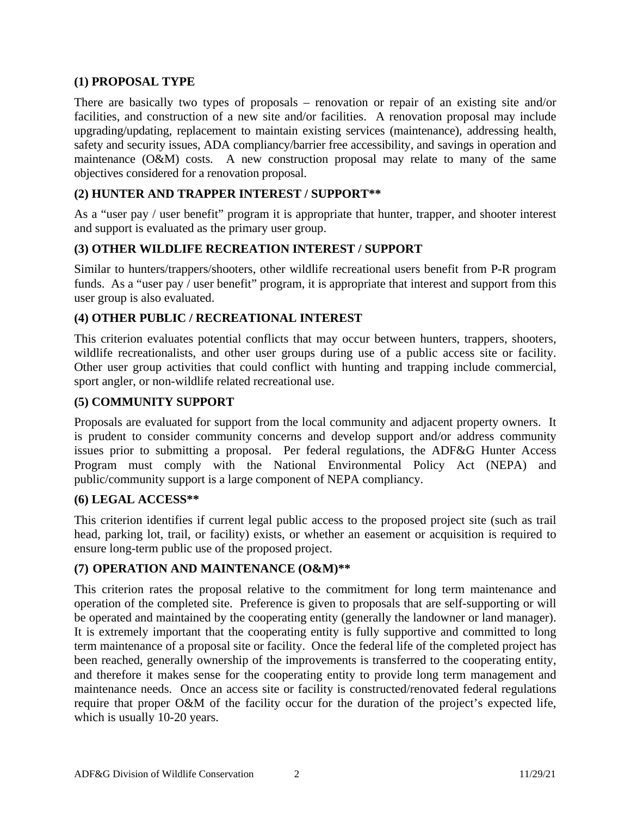#### **(1) PROPOSAL TYPE**

There are basically two types of proposals – renovation or repair of an existing site and/or facilities, and construction of a new site and/or facilities. A renovation proposal may include upgrading/updating, replacement to maintain existing services (maintenance), addressing health, safety and security issues, ADA compliancy/barrier free accessibility, and savings in operation and maintenance (O&M) costs. A new construction proposal may relate to many of the same objectives considered for a renovation proposal.

## **(2) HUNTER AND TRAPPER INTEREST / SUPPORT\*\***

As a "user pay / user benefit" program it is appropriate that hunter, trapper, and shooter interest and support is evaluated as the primary user group.

## **(3) OTHER WILDLIFE RECREATION INTEREST / SUPPORT**

Similar to hunters/trappers/shooters, other wildlife recreational users benefit from P-R program funds. As a "user pay / user benefit" program, it is appropriate that interest and support from this user group is also evaluated.

## **(4) OTHER PUBLIC / RECREATIONAL INTEREST**

This criterion evaluates potential conflicts that may occur between hunters, trappers, shooters, wildlife recreationalists, and other user groups during use of a public access site or facility. Other user group activities that could conflict with hunting and trapping include commercial, sport angler, or non-wildlife related recreational use.

#### **(5) COMMUNITY SUPPORT**

Proposals are evaluated for support from the local community and adjacent property owners. It is prudent to consider community concerns and develop support and/or address community issues prior to submitting a proposal. Per federal regulations, the ADF&G Hunter Access Program must comply with the National Environmental Policy Act (NEPA) and public/community support is a large component of NEPA compliancy.

#### **(6) LEGAL ACCESS\*\***

This criterion identifies if current legal public access to the proposed project site (such as trail head, parking lot, trail, or facility) exists, or whether an easement or acquisition is required to ensure long-term public use of the proposed project.

#### **(7) OPERATION AND MAINTENANCE (O&M)\*\***

This criterion rates the proposal relative to the commitment for long term maintenance and operation of the completed site. Preference is given to proposals that are self-supporting or will be operated and maintained by the cooperating entity (generally the landowner or land manager). It is extremely important that the cooperating entity is fully supportive and committed to long term maintenance of a proposal site or facility. Once the federal life of the completed project has been reached, generally ownership of the improvements is transferred to the cooperating entity, and therefore it makes sense for the cooperating entity to provide long term management and maintenance needs. Once an access site or facility is constructed/renovated federal regulations require that proper O&M of the facility occur for the duration of the project's expected life, which is usually 10-20 years.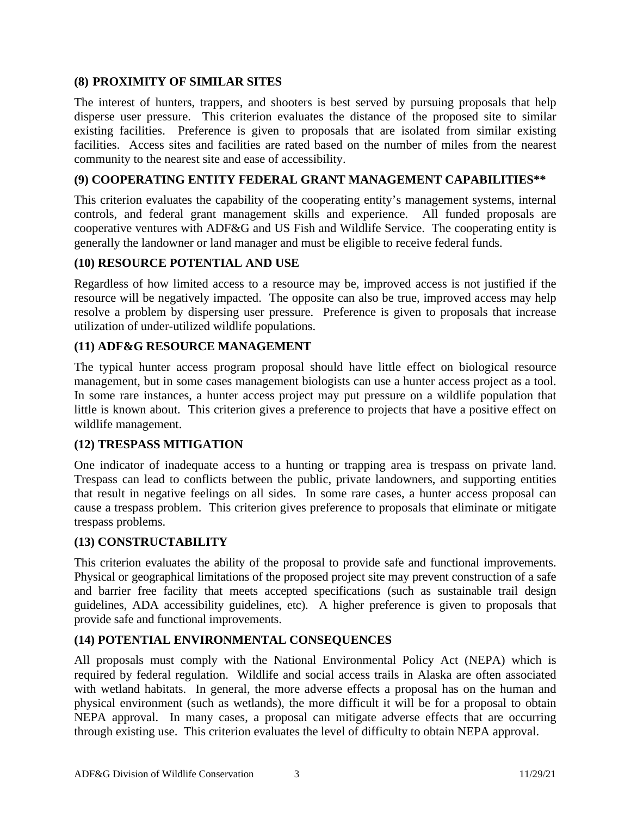## **(8) PROXIMITY OF SIMILAR SITES**

The interest of hunters, trappers, and shooters is best served by pursuing proposals that help disperse user pressure. This criterion evaluates the distance of the proposed site to similar existing facilities. Preference is given to proposals that are isolated from similar existing facilities. Access sites and facilities are rated based on the number of miles from the nearest community to the nearest site and ease of accessibility.

## **(9) COOPERATING ENTITY FEDERAL GRANT MANAGEMENT CAPABILITIES\*\***

This criterion evaluates the capability of the cooperating entity's management systems, internal controls, and federal grant management skills and experience. All funded proposals are cooperative ventures with ADF&G and US Fish and Wildlife Service. The cooperating entity is generally the landowner or land manager and must be eligible to receive federal funds.

#### **(10) RESOURCE POTENTIAL AND USE**

Regardless of how limited access to a resource may be, improved access is not justified if the resource will be negatively impacted. The opposite can also be true, improved access may help resolve a problem by dispersing user pressure. Preference is given to proposals that increase utilization of under-utilized wildlife populations.

## **(11) ADF&G RESOURCE MANAGEMENT**

The typical hunter access program proposal should have little effect on biological resource management, but in some cases management biologists can use a hunter access project as a tool. In some rare instances, a hunter access project may put pressure on a wildlife population that little is known about. This criterion gives a preference to projects that have a positive effect on wildlife management.

#### **(12) TRESPASS MITIGATION**

One indicator of inadequate access to a hunting or trapping area is trespass on private land. Trespass can lead to conflicts between the public, private landowners, and supporting entities that result in negative feelings on all sides. In some rare cases, a hunter access proposal can cause a trespass problem. This criterion gives preference to proposals that eliminate or mitigate trespass problems.

#### **(13) CONSTRUCTABILITY**

This criterion evaluates the ability of the proposal to provide safe and functional improvements. Physical or geographical limitations of the proposed project site may prevent construction of a safe and barrier free facility that meets accepted specifications (such as sustainable trail design guidelines, ADA accessibility guidelines, etc). A higher preference is given to proposals that provide safe and functional improvements.

## **(14) POTENTIAL ENVIRONMENTAL CONSEQUENCES**

All proposals must comply with the National Environmental Policy Act (NEPA) which is required by federal regulation. Wildlife and social access trails in Alaska are often associated with wetland habitats. In general, the more adverse effects a proposal has on the human and physical environment (such as wetlands), the more difficult it will be for a proposal to obtain NEPA approval. In many cases, a proposal can mitigate adverse effects that are occurring through existing use. This criterion evaluates the level of difficulty to obtain NEPA approval.